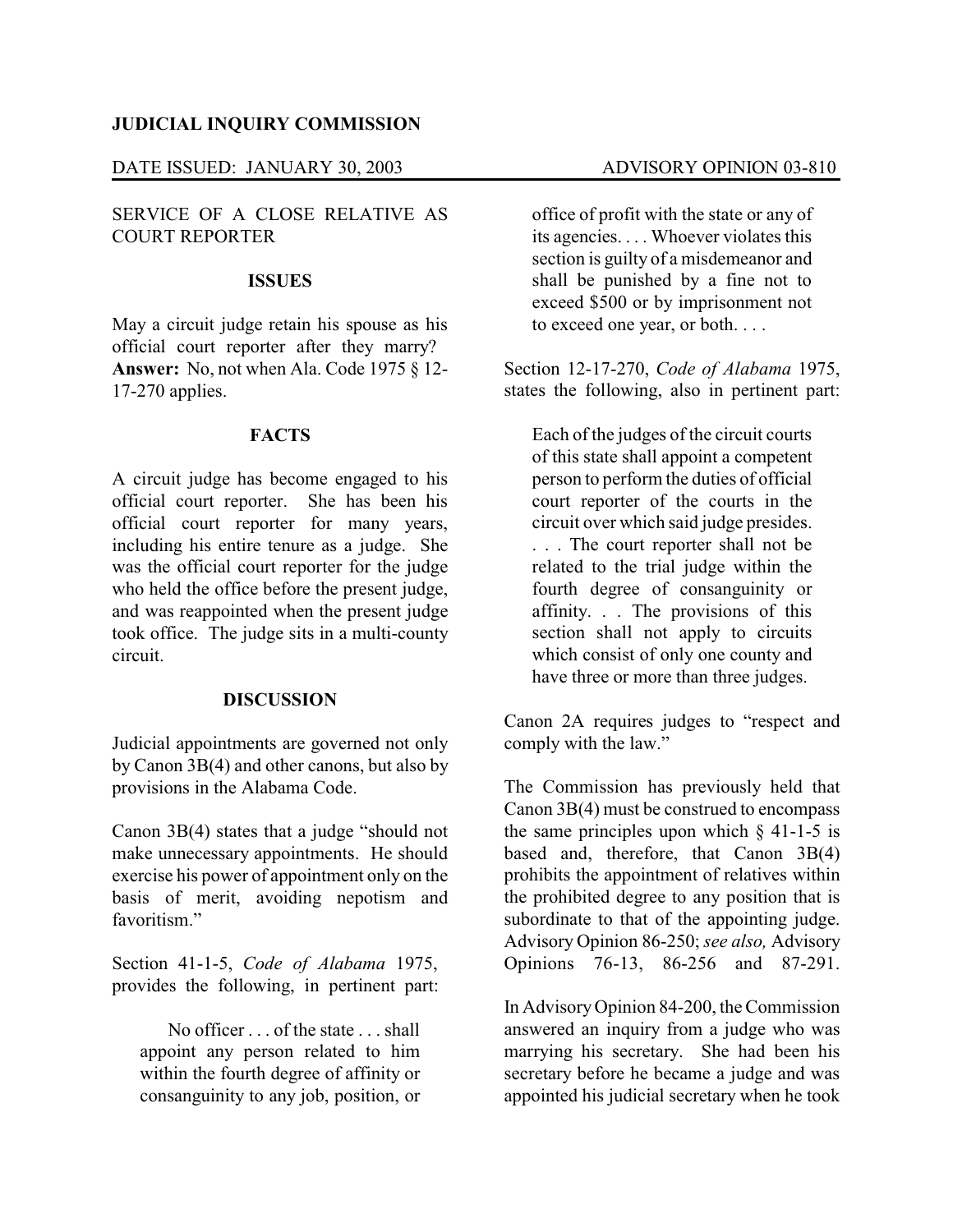## **JUDICIAL INQUIRY COMMISSION**

# DATE ISSUED: JANUARY 30, 2003 ADVISORY OPINION 03-810

# SERVICE OF A CLOSE RELATIVE AS COURT REPORTER

#### **ISSUES**

May a circuit judge retain his spouse as his official court reporter after they marry? **Answer:** No, not when Ala. Code 1975 § 12- 17-270 applies.

### **FACTS**

A circuit judge has become engaged to his official court reporter. She has been his official court reporter for many years, including his entire tenure as a judge. She was the official court reporter for the judge who held the office before the present judge, and was reappointed when the present judge took office. The judge sits in a multi-county circuit.

### **DISCUSSION**

Judicial appointments are governed not only by Canon 3B(4) and other canons, but also by provisions in the Alabama Code.

Canon 3B(4) states that a judge "should not make unnecessary appointments. He should exercise his power of appointment only on the basis of merit, avoiding nepotism and favoritism"

Section 41-1-5, *Code of Alabama* 1975, provides the following, in pertinent part:

No officer . . . of the state . . . shall appoint any person related to him within the fourth degree of affinity or consanguinity to any job, position, or

office of profit with the state or any of its agencies. . . . Whoever violates this section is guilty of a misdemeanor and shall be punished by a fine not to exceed \$500 or by imprisonment not to exceed one year, or both. . . .

Section 12-17-270, *Code of Alabama* 1975, states the following, also in pertinent part:

Each of the judges of the circuit courts of this state shall appoint a competent person to perform the duties of official court reporter of the courts in the circuit over which said judge presides. . . . The court reporter shall not be related to the trial judge within the fourth degree of consanguinity or affinity. . . The provisions of this section shall not apply to circuits which consist of only one county and have three or more than three judges.

Canon 2A requires judges to "respect and comply with the law."

The Commission has previously held that Canon 3B(4) must be construed to encompass the same principles upon which  $\S$  41-1-5 is based and, therefore, that Canon 3B(4) prohibits the appointment of relatives within the prohibited degree to any position that is subordinate to that of the appointing judge. Advisory Opinion 86-250; *see also,* Advisory Opinions 76-13, 86-256 and 87-291.

In AdvisoryOpinion 84-200, the Commission answered an inquiry from a judge who was marrying his secretary. She had been his secretary before he became a judge and was appointed his judicial secretary when he took